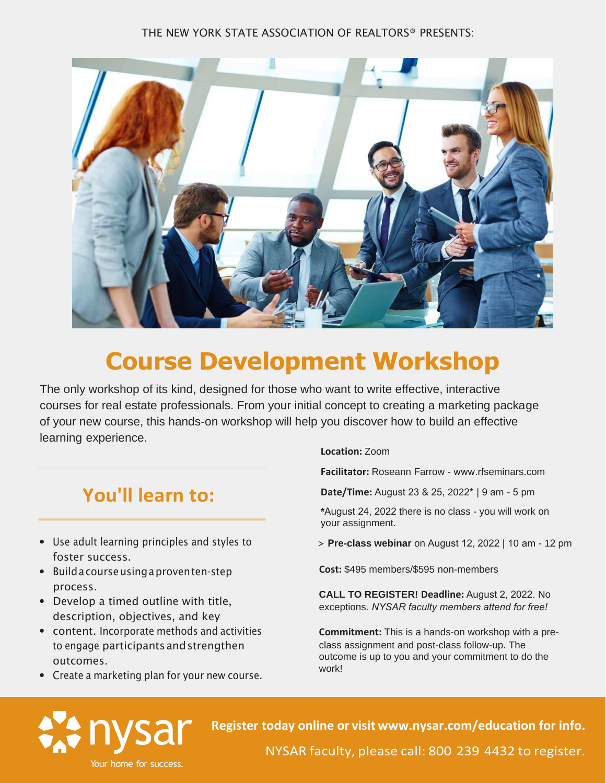#### THE NEW YORK STATE ASSOCIATION OF REALTORS® PRESENTS:



### **Course Development Workshop**

The only workshop of its kind, designed for those who want to write effective, interactive courses for real estate professionals. From your initial concept to creating a marketing package of your new course, this hands-on workshop will help you discover how to build an effective learning experience.

#### **You'll learn to:**

- Use adult learning principles and styles to foster success.
- Buildacourseusingaproventen-step process.
- Develop a timed outline with title, description, objectives, and key
- content. Incorporate methods and activities to engage participantsandstrengthen outcomes.
- Create a marketing plan for your new course.

**Location:** Zoom

**Facilitator:** Roseann Farrow - www.r[fseminars.com](http://www.rfseminars.com/)

**Date/Time:** August 23 & 25, 2022**\*** | 9 am - 5 pm

\*August 24, 2022 there is no class - you will work on your assignment.

> **Pre-class webinar** on August 12, 2022 | 10 am - 12 pm

**Cost:** \$495 members/\$595 non-members

**CALL TO REGISTER! Deadline:** August 2, 2022. No exceptions. *NYSAR faculty members attend for free!*

**Commitment:** This is a hands-on workshop with a preclass assignment and post-class follow-up. The outcome is up to you and your commitment to do the work!



**[Register today](https://www.nysar.com/calendar/event/?id=0e5d34cd-760a-ec11-9c62-00155d080813) online or visit www.nysar.com[/education](https://www.nysar.com/education/nysar-course-schedule/) for info.**

NYSAR faculty, please call: 800 239 4432 to register.